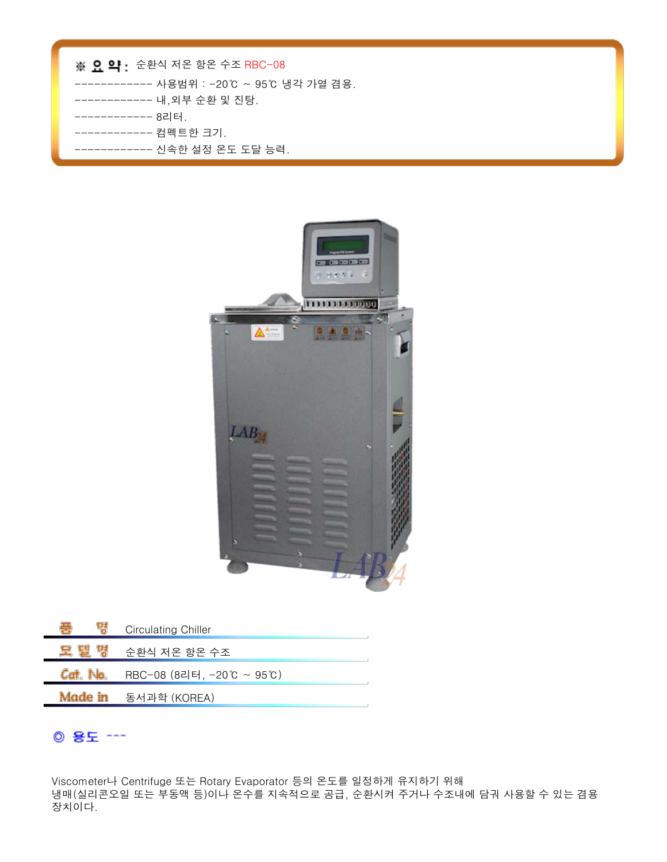| ※ 요 약 : 순환식 저온 항온 수조 RBC-08              |
|------------------------------------------|
| ------------ 사용범위 : -20℃ ~ 95℃ 냉각 가열 겸용. |
| --------- 내,외부 순환 및 진탕.                  |
| ----------- 8리터.                         |
| -------- 컴펙트한 크기.                        |
| --- 신속한 설정 온도 도달 능력.                     |



| ₩<br>чđ  | <b>Circulating Chiller</b> |
|----------|----------------------------|
| 医鼻       | 순환식 저온 항온 수조               |
| Cat. No. | RBC-08 (8리터, -20℃ ~ 95℃)   |
|          | Made in 동서과학 (KOREA)       |

## ◎ 용도 ~~~

Viscometer나 Centrifuge 또는 Rotary Evaporator 등의 온도를 일정하게 유지하기 위해 냉매(실리콘오일 또는 부동액 등)이나 온수를 지속적으로 공급, 순환시켜 주거나 수조내에 담궈 사용할 수 있는 겸용 장치이다.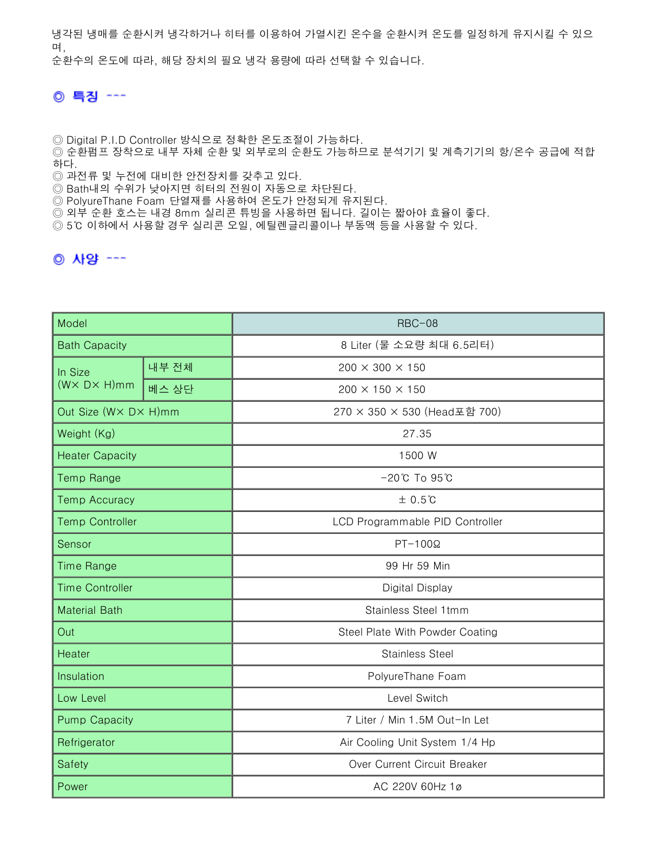냉각된 냉매를 순환시켜 냉각하거나 히터를 이용하여 가열시킨 온수을 순환시켜 온도를 일정하게 유지시킬 수 있으 며, 순환수의 온도에 따라, 해당 장치의 필요 냉각 용량에 따라 선택할 수 있습니다.

## ◎ 특징 ---

◎ Digital P.I.D Controller 방식으로 정확한 온도조절이 가능하다.

◎ 순환펌프 장착으로 내부 자체 순환 및 외부로의 순환도 가능하므로 분석기기 및 계측기기의 항/온수 공급에 적합 하다.

◎ 과전류 및 누전에 대비한 안전장치를 갖추고 있다.

◎ Bath내의 수위가 낮아지면 히터의 전원이 자동으로 차단된다.

◎ PolyureThane Foam 단열재를 사용하여 온도가 안정되게 유지된다.

◎ 외부 순환 호스는 내경 8mm 실리콘 튜빙을 사용하면 됩니다. 길이는 짧아야 효율이 좋다.

◎ 5℃ 이하에서 사용할 경우 실리콘 오일, 에틸렌글리콜이나 부동액 등을 사용할 수 있다.

## ◎ 사양 ---

| Model                                 |       | $RBC-08$                          |
|---------------------------------------|-------|-----------------------------------|
| <b>Bath Capacity</b>                  |       | 8 Liter (물 소요량 최대 6.5리터)          |
| In Size<br>$(W \times D \times H)$ mm | 내부 전체 | $200 \times 300 \times 150$       |
|                                       | 베스 상단 | 200 × 150 × 150                   |
| Out Size (WX DX H)mm                  |       | 270 × 350 × 530 (Head포함 700)      |
| Weight (Kg)                           |       | 27.35                             |
| <b>Heater Capacity</b>                |       | 1500 W                            |
| <b>Temp Range</b>                     |       | $-20^{\circ}$ C To $95^{\circ}$ C |
| <b>Temp Accuracy</b>                  |       | $±0.5$ ℃                          |
| <b>Temp Controller</b>                |       | LCD Programmable PID Controller   |
| Sensor                                |       | $PT-100\Omega$                    |
| <b>Time Range</b>                     |       | 99 Hr 59 Min                      |
| <b>Time Controller</b>                |       | Digital Display                   |
| <b>Material Bath</b>                  |       | Stainless Steel 1tmm              |
| Out                                   |       | Steel Plate With Powder Coating   |
| Heater                                |       | <b>Stainless Steel</b>            |
| Insulation                            |       | PolyureThane Foam                 |
| Low Level                             |       | Level Switch                      |
| <b>Pump Capacity</b>                  |       | 7 Liter / Min 1.5M Out-In Let     |
| Refrigerator                          |       | Air Cooling Unit System 1/4 Hp    |
| Safety                                |       | Over Current Circuit Breaker      |
| Power                                 |       | AC 220V 60Hz 1ø                   |